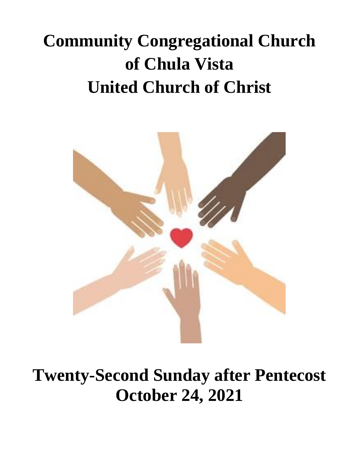# **Community Congregational Church of Chula Vista United Church of Christ**



**Twenty-Second Sunday after Pentecost October 24, 2021**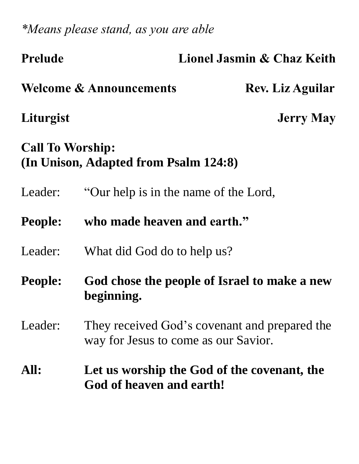*\*Means please stand, as you are able*

| <b>Prelude</b>                                                   | Lionel Jasmin & Chaz Keith                                                            |                         |  |  |
|------------------------------------------------------------------|---------------------------------------------------------------------------------------|-------------------------|--|--|
|                                                                  | <b>Welcome &amp; Announcements</b>                                                    | <b>Rev. Liz Aguilar</b> |  |  |
| Liturgist                                                        |                                                                                       | <b>Jerry May</b>        |  |  |
| <b>Call To Worship:</b><br>(In Unison, Adapted from Psalm 124:8) |                                                                                       |                         |  |  |
| Leader:                                                          | "Our help is in the name of the Lord,                                                 |                         |  |  |
| <b>People:</b>                                                   | who made heaven and earth."                                                           |                         |  |  |
| Leader:                                                          | What did God do to help us?                                                           |                         |  |  |
| <b>People:</b>                                                   | God chose the people of Israel to make a new<br>beginning.                            |                         |  |  |
| Leader:                                                          | They received God's covenant and prepared the<br>way for Jesus to come as our Savior. |                         |  |  |
| All:                                                             | Let us worship the God of the covenant, the<br>God of heaven and earth!               |                         |  |  |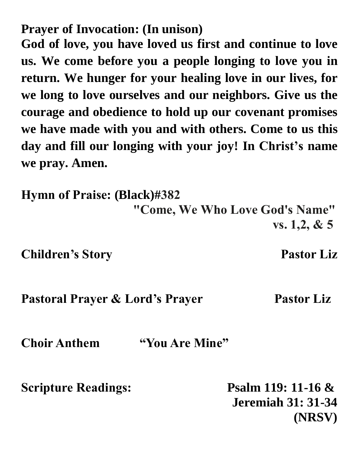**Prayer of Invocation: (In unison)** 

**God of love, you have loved us first and continue to love us. We come before you a people longing to love you in return. We hunger for your healing love in our lives, for we long to love ourselves and our neighbors. Give us the courage and obedience to hold up our covenant promises we have made with you and with others. Come to us this day and fill our longing with your joy! In Christ's name we pray. Amen.**

**Hymn of Praise: (Black)#382 "Come, We Who Love God's Name" vs. 1,2, & 5**

**Children's Story Pastor Liz** 

**Pastoral Prayer & Lord's Prayer Pastor Liz** 

**Choir Anthem "You Are Mine"** 

**Scripture Readings: Psalm 119: 11-16 & Jeremiah 31: 31-34 (NRSV)**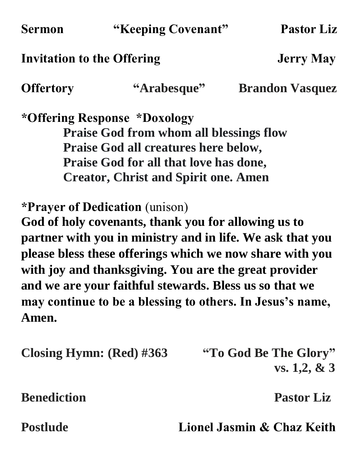| <b>Sermon</b> |
|---------------|
|---------------|

#### **Invitation to the Offering Team Service Service Service Service Service Service Service Service Service Service Service Service Service Service Service Service Service Service Service Service Service Service Service Servi**

**Offertory "Arabesque" Brandon Vasquez** 

**\*Offering Response \*Doxology Praise God from whom all blessings flow Praise God all creatures here below, Praise God for all that love has done, Creator, Christ and Spirit one. Amen**

**\*Prayer of Dedication** (unison)

**God of holy covenants, thank you for allowing us to partner with you in ministry and in life. We ask that you please bless these offerings which we now share with you with joy and thanksgiving. You are the great provider and we are your faithful stewards. Bless us so that we may continue to be a blessing to others. In Jesus's name, Amen.** 

**Closing Hymn: (Red) #363 "To God Be The Glory"**

**vs. 1,2, & 3**

**Benediction Pastor Liz** 

**Postlude Lionel Jasmin & Chaz Keith**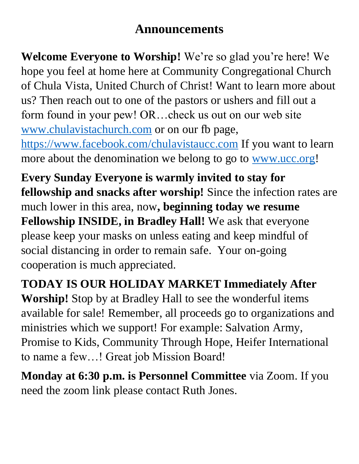### **Announcements**

**Welcome Everyone to Worship!** We're so glad you're here! We hope you feel at home here at Community Congregational Church of Chula Vista, United Church of Christ! Want to learn more about us? Then reach out to one of the pastors or ushers and fill out a form found in your pew! OR…check us out on our web site [www.chulavistachurch.com](http://www.chulavistachurch.com/) or on our fb page, <https://www.facebook.com/chulavistaucc.com> If you want to learn more about the denomination we belong to go to [www.ucc.org!](http://www.ucc.org/)

**Every Sunday Everyone is warmly invited to stay for fellowship and snacks after worship!** Since the infection rates are much lower in this area, now**, beginning today we resume Fellowship INSIDE, in Bradley Hall!** We ask that everyone please keep your masks on unless eating and keep mindful of social distancing in order to remain safe. Your on-going cooperation is much appreciated.

**TODAY IS OUR HOLIDAY MARKET Immediately After Worship!** Stop by at Bradley Hall to see the wonderful items available for sale! Remember, all proceeds go to organizations and ministries which we support! For example: Salvation Army, Promise to Kids, Community Through Hope, Heifer International to name a few…! Great job Mission Board!

**Monday at 6:30 p.m. is Personnel Committee** via Zoom. If you need the zoom link please contact Ruth Jones.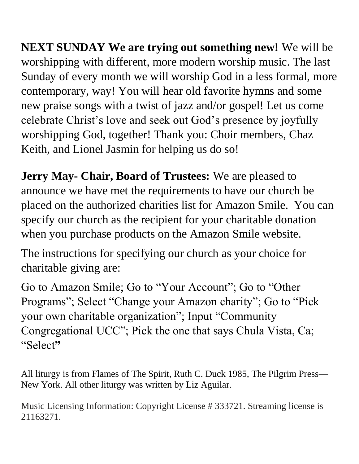**NEXT SUNDAY We are trying out something new!** We will be worshipping with different, more modern worship music. The last Sunday of every month we will worship God in a less formal, more contemporary, way! You will hear old favorite hymns and some new praise songs with a twist of jazz and/or gospel! Let us come celebrate Christ's love and seek out God's presence by joyfully worshipping God, together! Thank you: Choir members, Chaz Keith, and Lionel Jasmin for helping us do so!

**Jerry May- Chair, Board of Trustees:** We are pleased to announce we have met the requirements to have our church be placed on the authorized charities list for Amazon Smile. You can specify our church as the recipient for your charitable donation when you purchase products on the Amazon Smile website.

The instructions for specifying our church as your choice for charitable giving are:

Go to Amazon Smile; Go to "Your Account"; Go to "Other Programs"; Select "Change your Amazon charity"; Go to "Pick your own charitable organization"; Input "Community Congregational UCC"; Pick the one that says Chula Vista, Ca; "Select**"**

All liturgy is from Flames of The Spirit, Ruth C. Duck 1985, The Pilgrim Press— New York. All other liturgy was written by Liz Aguilar.

Music Licensing Information: Copyright License # 333721. Streaming license is 21163271.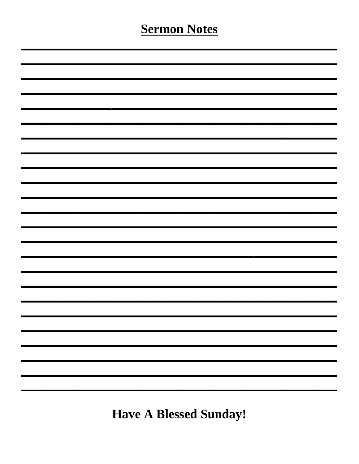## **Sermon Notes**

**Have A Blessed Sunday!**